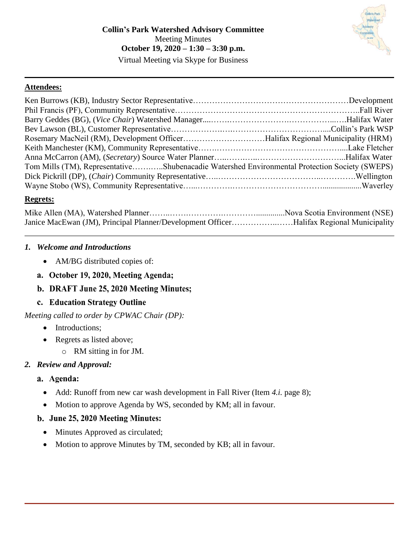#### **Attendees:**

| Rosemary MacNeil (RM), Development OfficerHalifax Regional Municipality (HRM)                 |  |
|-----------------------------------------------------------------------------------------------|--|
|                                                                                               |  |
|                                                                                               |  |
| Tom Mills (TM), RepresentativeShubenacadie Watershed Environmental Protection Society (SWEPS) |  |
|                                                                                               |  |
|                                                                                               |  |

#### **Regrets:**

| Janice MacEwan (JM), Principal Planner/Development OfficerHalifax Regional Municipality |  |
|-----------------------------------------------------------------------------------------|--|

#### *1. Welcome and Introductions*

- AM/BG distributed copies of:
- a. October 19, 2020, Meeting Agenda;
- b. DRAFT June 25, 2020 Meeting Minutes;
- c. Education Strategy Outline

*Meeting called to order by CPWAC Chair (DP):*

- Introductions;
- Regrets as listed above;
	- o RM sitting in for JM.

# *2. Review and Approval:*

# a. Agenda:

- Add: Runoff from new car wash development in Fall River (Item *[4.](#page-2-0)i.* page [8\)](#page-7-0);
- Motion to approve Agenda by WS, seconded by KM; all in favour.

# b. June 25, 2020 Meeting Minutes:

- Minutes Approved as circulated;
- Motion to approve Minutes by TM, seconded by KB; all in favour.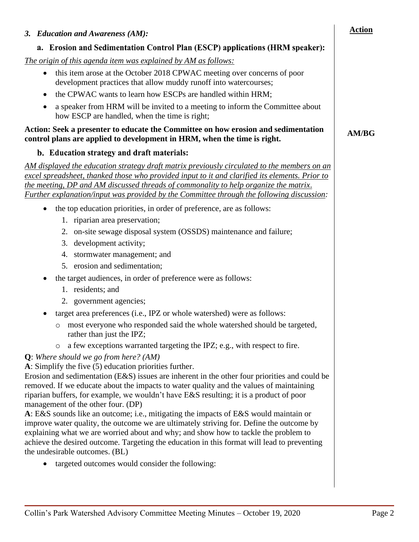| 3. Education and Awareness (AM):                                                                                                                                                                                                                                                                                                                                                                                                                                                                                                                                                                                                                                                                                                                                                                                                                                                                  | <b>Action</b> |
|---------------------------------------------------------------------------------------------------------------------------------------------------------------------------------------------------------------------------------------------------------------------------------------------------------------------------------------------------------------------------------------------------------------------------------------------------------------------------------------------------------------------------------------------------------------------------------------------------------------------------------------------------------------------------------------------------------------------------------------------------------------------------------------------------------------------------------------------------------------------------------------------------|---------------|
| a. Erosion and Sedimentation Control Plan (ESCP) applications (HRM speaker):                                                                                                                                                                                                                                                                                                                                                                                                                                                                                                                                                                                                                                                                                                                                                                                                                      |               |
| The origin of this agenda item was explained by AM as follows:<br>this item arose at the October 2018 CPWAC meeting over concerns of poor<br>$\bullet$<br>development practices that allow muddy runoff into watercourses;<br>the CPWAC wants to learn how ESCPs are handled within HRM;<br>a speaker from HRM will be invited to a meeting to inform the Committee about<br>how ESCP are handled, when the time is right;<br>Action: Seek a presenter to educate the Committee on how erosion and sedimentation                                                                                                                                                                                                                                                                                                                                                                                  | <b>AM/BG</b>  |
| control plans are applied to development in HRM, when the time is right.                                                                                                                                                                                                                                                                                                                                                                                                                                                                                                                                                                                                                                                                                                                                                                                                                          |               |
| b. Education strategy and draft materials:                                                                                                                                                                                                                                                                                                                                                                                                                                                                                                                                                                                                                                                                                                                                                                                                                                                        |               |
| AM displayed the education strategy draft matrix previously circulated to the members on an<br>excel spreadsheet, thanked those who provided input to it and clarified its elements. Prior to<br>the meeting, DP and AM discussed threads of commonality to help organize the matrix.<br>Further explanation/input was provided by the Committee through the following discussion:                                                                                                                                                                                                                                                                                                                                                                                                                                                                                                                |               |
| the top education priorities, in order of preference, are as follows:<br>$\bullet$                                                                                                                                                                                                                                                                                                                                                                                                                                                                                                                                                                                                                                                                                                                                                                                                                |               |
| 1. riparian area preservation;                                                                                                                                                                                                                                                                                                                                                                                                                                                                                                                                                                                                                                                                                                                                                                                                                                                                    |               |
| on-site sewage disposal system (OSSDS) maintenance and failure;<br>2.                                                                                                                                                                                                                                                                                                                                                                                                                                                                                                                                                                                                                                                                                                                                                                                                                             |               |
| development activity;<br>3.                                                                                                                                                                                                                                                                                                                                                                                                                                                                                                                                                                                                                                                                                                                                                                                                                                                                       |               |
| 4.<br>stormwater management; and                                                                                                                                                                                                                                                                                                                                                                                                                                                                                                                                                                                                                                                                                                                                                                                                                                                                  |               |
| 5. erosion and sedimentation;                                                                                                                                                                                                                                                                                                                                                                                                                                                                                                                                                                                                                                                                                                                                                                                                                                                                     |               |
| the target audiences, in order of preference were as follows:                                                                                                                                                                                                                                                                                                                                                                                                                                                                                                                                                                                                                                                                                                                                                                                                                                     |               |
| 1. residents; and                                                                                                                                                                                                                                                                                                                                                                                                                                                                                                                                                                                                                                                                                                                                                                                                                                                                                 |               |
| 2. government agencies;                                                                                                                                                                                                                                                                                                                                                                                                                                                                                                                                                                                                                                                                                                                                                                                                                                                                           |               |
| target area preferences (i.e., IPZ or whole watershed) were as follows:                                                                                                                                                                                                                                                                                                                                                                                                                                                                                                                                                                                                                                                                                                                                                                                                                           |               |
| o most everyone who responded said the whole watershed should be targeted,<br>rather than just the IPZ;                                                                                                                                                                                                                                                                                                                                                                                                                                                                                                                                                                                                                                                                                                                                                                                           |               |
| a few exceptions warranted targeting the IPZ; e.g., with respect to fire.<br>$\circ$                                                                                                                                                                                                                                                                                                                                                                                                                                                                                                                                                                                                                                                                                                                                                                                                              |               |
| $Q$ : Where should we go from here? (AM)<br>A: Simplify the five (5) education priorities further.<br>Erosion and sedimentation $(E & S)$ issues are inherent in the other four priorities and could be<br>removed. If we educate about the impacts to water quality and the values of maintaining<br>riparian buffers, for example, we wouldn't have E&S resulting; it is a product of poor<br>management of the other four. (DP)<br>A: E&S sounds like an outcome; i.e., mitigating the impacts of E&S would maintain or<br>improve water quality, the outcome we are ultimately striving for. Define the outcome by<br>explaining what we are worried about and why; and show how to tackle the problem to<br>achieve the desired outcome. Targeting the education in this format will lead to preventing<br>the undesirable outcomes. (BL)<br>targeted outcomes would consider the following: |               |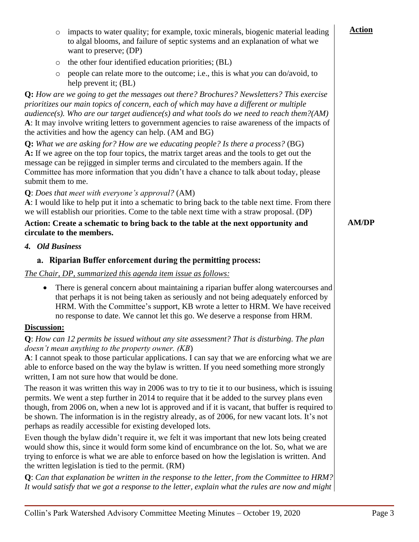<span id="page-2-0"></span>

| impacts to water quality; for example, toxic minerals, biogenic material leading<br>$\circ$<br>to algal blooms, and failure of septic systems and an explanation of what we<br>want to preserve; (DP)                                                                                                                                                                                                                                                                  | <b>Action</b> |
|------------------------------------------------------------------------------------------------------------------------------------------------------------------------------------------------------------------------------------------------------------------------------------------------------------------------------------------------------------------------------------------------------------------------------------------------------------------------|---------------|
| the other four identified education priorities; (BL)<br>$\circ$                                                                                                                                                                                                                                                                                                                                                                                                        |               |
| people can relate more to the outcome; i.e., this is what you can do/avoid, to<br>$\circ$<br>help prevent it; (BL)                                                                                                                                                                                                                                                                                                                                                     |               |
| Q: How are we going to get the messages out there? Brochures? Newsletters? This exercise<br>prioritizes our main topics of concern, each of which may have a different or multiple<br>audience(s). Who are our target audience(s) and what tools do we need to reach them?(AM)<br>A: It may involve writing letters to government agencies to raise awareness of the impacts of<br>the activities and how the agency can help. (AM and BG)                             |               |
| <b>Q:</b> What we are asking for? How are we educating people? Is there a process? $(BG)$<br>A: If we agree on the top four topics, the matrix target areas and the tools to get out the<br>message can be rejigged in simpler terms and circulated to the members again. If the<br>Committee has more information that you didn't have a chance to talk about today, please<br>submit them to me.                                                                     |               |
| Q: Does that meet with everyone's approval? (AM)<br>A: I would like to help put it into a schematic to bring back to the table next time. From there<br>we will establish our priorities. Come to the table next time with a straw proposal. (DP)                                                                                                                                                                                                                      |               |
| Action: Create a schematic to bring back to the table at the next opportunity and<br>circulate to the members.                                                                                                                                                                                                                                                                                                                                                         | <b>AM/DP</b>  |
| 4. Old Business                                                                                                                                                                                                                                                                                                                                                                                                                                                        |               |
| a. Riparian Buffer enforcement during the permitting process:                                                                                                                                                                                                                                                                                                                                                                                                          |               |
| The Chair, DP, summarized this agenda item issue as follows:                                                                                                                                                                                                                                                                                                                                                                                                           |               |
| There is general concern about maintaining a riparian buffer along watercourses and<br>$\bullet$<br>that perhaps it is not being taken as seriously and not being adequately enforced by<br>HRM. With the Committee's support, KB wrote a letter to HRM. We have received<br>no response to date. We cannot let this go. We deserve a response from HRM.                                                                                                               |               |
| Discussion:                                                                                                                                                                                                                                                                                                                                                                                                                                                            |               |
| $Q$ : How can 12 permits be issued without any site assessment? That is disturbing. The plan<br>doesn't mean anything to the property owner. (KB)                                                                                                                                                                                                                                                                                                                      |               |
| A: I cannot speak to those particular applications. I can say that we are enforcing what we are<br>able to enforce based on the way the bylaw is written. If you need something more strongly<br>written, I am not sure how that would be done.                                                                                                                                                                                                                        |               |
| The reason it was written this way in 2006 was to try to tie it to our business, which is issuing<br>permits. We went a step further in 2014 to require that it be added to the survey plans even<br>though, from 2006 on, when a new lot is approved and if it is vacant, that buffer is required to<br>be shown. The information is in the registry already, as of 2006, for new vacant lots. It's not<br>perhaps as readily accessible for existing developed lots. |               |
| Even though the bylaw didn't require it, we felt it was important that new lots being created<br>would show this, since it would form some kind of encumbrance on the lot. So, what we are<br>trying to enforce is what we are able to enforce based on how the legislation is written. And<br>the written legislation is tied to the permit. (RM)                                                                                                                     |               |
| $Q$ : Can that explanation be written in the response to the letter, from the Committee to HRM?<br>It would satisfy that we got a response to the letter, explain what the rules are now and might                                                                                                                                                                                                                                                                     |               |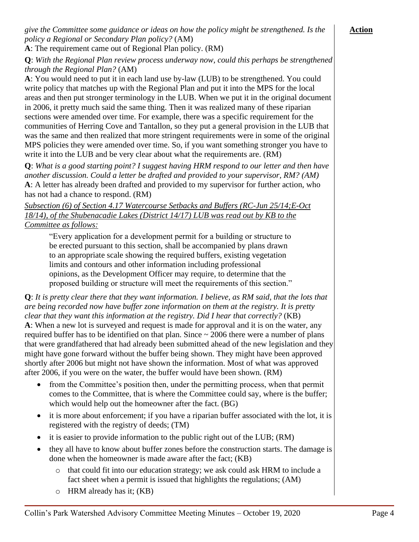#### **Action**

**A**: The requirement came out of Regional Plan policy. (RM)

**Q**: *With the Regional Plan review process underway now, could this perhaps be strengthened through the Regional Plan?* (AM)

**A**: You would need to put it in each land use by-law (LUB) to be strengthened. You could write policy that matches up with the Regional Plan and put it into the MPS for the local areas and then put stronger terminology in the LUB. When we put it in the original document in 2006, it pretty much said the same thing. Then it was realized many of these riparian sections were amended over time. For example, there was a specific requirement for the communities of Herring Cove and Tantallon, so they put a general provision in the LUB that was the same and then realized that more stringent requirements were in some of the original MPS policies they were amended over time. So, if you want something stronger you have to write it into the LUB and be very clear about what the requirements are. (RM)

**Q**: *What is a good starting point? I suggest having HRM respond to our letter and then have another discussion. Could a letter be drafted and provided to your supervisor, RM? (AM)* **A**: A letter has already been drafted and provided to my supervisor for further action, who has not had a chance to respond. (RM)

*Subsection (6) of Section 4.17 Watercourse Setbacks and Buffers (RC-Jun 25/14;E-Oct 18/14), of the Shubenacadie Lakes (District 14/17) LUB was read out by KB to the Committee as follows:*

"Every application for a development permit for a building or structure to be erected pursuant to this section, shall be accompanied by plans drawn to an appropriate scale showing the required buffers, existing vegetation limits and contours and other information including professional opinions, as the Development Officer may require, to determine that the proposed building or structure will meet the requirements of this section."

**Q**: *It is pretty clear there that they want information. I believe, as RM said, that the lots that are being recorded now have buffer zone information on them at the registry. It is pretty clear that they want this information at the registry. Did I hear that correctly?* (KB) **A**: When a new lot is surveyed and request is made for approval and it is on the water, any required buffer has to be identified on that plan. Since  $\sim 2006$  there were a number of plans that were grandfathered that had already been submitted ahead of the new legislation and they might have gone forward without the buffer being shown. They might have been approved shortly after 2006 but might not have shown the information. Most of what was approved after 2006, if you were on the water, the buffer would have been shown. (RM)

- from the Committee's position then, under the permitting process, when that permit comes to the Committee, that is where the Committee could say, where is the buffer; which would help out the homeowner after the fact. (BG)
- it is more about enforcement; if you have a riparian buffer associated with the lot, it is registered with the registry of deeds; (TM)
- it is easier to provide information to the public right out of the LUB; (RM)
- they all have to know about buffer zones before the construction starts. The damage is done when the homeowner is made aware after the fact; (KB)
	- o that could fit into our education strategy; we ask could ask HRM to include a fact sheet when a permit is issued that highlights the regulations; (AM)
	- o HRM already has it; (KB)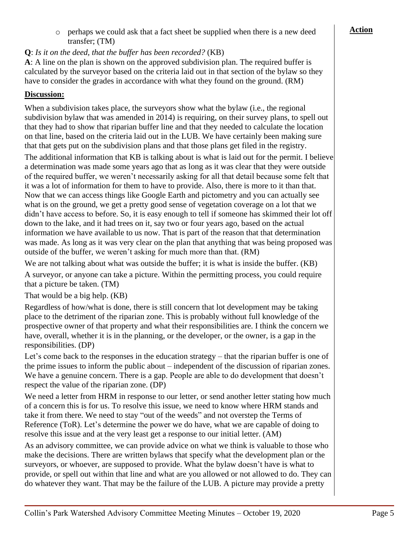o perhaps we could ask that a fact sheet be supplied when there is a new deed transfer; (TM)

#### **Q**: *Is it on the deed, that the buffer has been recorded?* (KB)

**A**: A line on the plan is shown on the approved subdivision plan. The required buffer is calculated by the surveyor based on the criteria laid out in that section of the bylaw so they have to consider the grades in accordance with what they found on the ground. (RM)

#### **Discussion:**

When a subdivision takes place, the surveyors show what the bylaw (i.e., the regional subdivision bylaw that was amended in 2014) is requiring, on their survey plans, to spell out that they had to show that riparian buffer line and that they needed to calculate the location on that line, based on the criteria laid out in the LUB. We have certainly been making sure that that gets put on the subdivision plans and that those plans get filed in the registry.

The additional information that KB is talking about is what is laid out for the permit. I believe a determination was made some years ago that as long as it was clear that they were outside of the required buffer, we weren't necessarily asking for all that detail because some felt that it was a lot of information for them to have to provide. Also, there is more to it than that. Now that we can access things like Google Earth and pictometry and you can actually see what is on the ground, we get a pretty good sense of vegetation coverage on a lot that we didn't have access to before. So, it is easy enough to tell if someone has skimmed their lot off down to the lake, and it had trees on it, say two or four years ago, based on the actual information we have available to us now. That is part of the reason that that determination was made. As long as it was very clear on the plan that anything that was being proposed was outside of the buffer, we weren't asking for much more than that. (RM)

We are not talking about what was outside the buffer; it is what is inside the buffer. (KB)

A surveyor, or anyone can take a picture. Within the permitting process, you could require that a picture be taken. (TM)

That would be a big help. (KB)

Regardless of how/what is done, there is still concern that lot development may be taking place to the detriment of the riparian zone. This is probably without full knowledge of the prospective owner of that property and what their responsibilities are. I think the concern we have, overall, whether it is in the planning, or the developer, or the owner, is a gap in the responsibilities. (DP)

Let's come back to the responses in the education strategy – that the riparian buffer is one of the prime issues to inform the public about – independent of the discussion of riparian zones. We have a genuine concern. There is a gap. People are able to do development that doesn't respect the value of the riparian zone. (DP)

We need a letter from HRM in response to our letter, or send another letter stating how much of a concern this is for us. To resolve this issue, we need to know where HRM stands and take it from there. We need to stay "out of the weeds" and not overstep the Terms of Reference (ToR). Let's determine the power we do have, what we are capable of doing to resolve this issue and at the very least get a response to our initial letter. (AM)

As an advisory committee, we can provide advice on what we think is valuable to those who make the decisions. There are written bylaws that specify what the development plan or the surveyors, or whoever, are supposed to provide. What the bylaw doesn't have is what to provide, or spell out within that line and what are you allowed or not allowed to do. They can do whatever they want. That may be the failure of the LUB. A picture may provide a pretty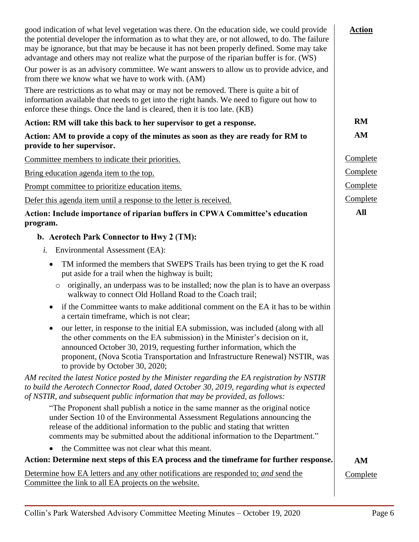| good indication of what level vegetation was there. On the education side, we could provide<br>the potential developer the information as to what they are, or not allowed, to do. The failure<br>may be ignorance, but that may be because it has not been properly defined. Some may take<br>advantage and others may not realize what the purpose of the riparian buffer is for. (WS) | <b>Action</b> |
|------------------------------------------------------------------------------------------------------------------------------------------------------------------------------------------------------------------------------------------------------------------------------------------------------------------------------------------------------------------------------------------|---------------|
| Our power is as an advisory committee. We want answers to allow us to provide advice, and<br>from there we know what we have to work with. (AM)                                                                                                                                                                                                                                          |               |
| There are restrictions as to what may or may not be removed. There is quite a bit of<br>information available that needs to get into the right hands. We need to figure out how to<br>enforce these things. Once the land is cleared, then it is too late. (KB)                                                                                                                          |               |
| Action: RM will take this back to her supervisor to get a response.                                                                                                                                                                                                                                                                                                                      | <b>RM</b>     |
| Action: AM to provide a copy of the minutes as soon as they are ready for RM to<br>provide to her supervisor.                                                                                                                                                                                                                                                                            | AM            |
| Committee members to indicate their priorities.                                                                                                                                                                                                                                                                                                                                          | Complete      |
| Bring education agenda item to the top.                                                                                                                                                                                                                                                                                                                                                  | Complete      |
| Prompt committee to prioritize education items.                                                                                                                                                                                                                                                                                                                                          | Complete      |
| Defer this agenda item until a response to the letter is received.                                                                                                                                                                                                                                                                                                                       | Complete      |
| Action: Include importance of riparian buffers in CPWA Committee's education                                                                                                                                                                                                                                                                                                             | All           |
| program.                                                                                                                                                                                                                                                                                                                                                                                 |               |
| b. Aerotech Park Connector to Hwy 2 (TM):                                                                                                                                                                                                                                                                                                                                                |               |
| Environmental Assessment (EA):<br>i.                                                                                                                                                                                                                                                                                                                                                     |               |
| TM informed the members that SWEPS Trails has been trying to get the K road<br>$\bullet$<br>put aside for a trail when the highway is built;                                                                                                                                                                                                                                             |               |
| o originally, an underpass was to be installed; now the plan is to have an overpass<br>walkway to connect Old Holland Road to the Coach trail;                                                                                                                                                                                                                                           |               |
| if the Committee wants to make additional comment on the EA it has to be within<br>a certain timeframe, which is not clear;                                                                                                                                                                                                                                                              |               |
| our letter, in response to the initial EA submission, was included (along with all<br>the other comments on the EA submission) in the Minister's decision on it,<br>announced October 30, 2019, requesting further information, which the<br>proponent, (Nova Scotia Transportation and Infrastructure Renewal) NSTIR, was<br>to provide by October 30, 2020;                            |               |
| AM recited the latest Notice posted by the Minister regarding the EA registration by NSTIR<br>to build the Aerotech Connector Road, dated October 30, 2019, regarding what is expected<br>of NSTIR, and subsequent public information that may be provided, as follows:                                                                                                                  |               |
| "The Proponent shall publish a notice in the same manner as the original notice<br>under Section 10 of the Environmental Assessment Regulations announcing the<br>release of the additional information to the public and stating that written<br>comments may be submitted about the additional information to the Department."                                                         |               |
| the Committee was not clear what this meant.<br>$\bullet$                                                                                                                                                                                                                                                                                                                                |               |
| Action: Determine next steps of this EA process and the timeframe for further response.                                                                                                                                                                                                                                                                                                  | AM            |
| Determine how EA letters and any other notifications are responded to; and send the<br>Committee the link to all EA projects on the website.                                                                                                                                                                                                                                             | Complete      |
|                                                                                                                                                                                                                                                                                                                                                                                          |               |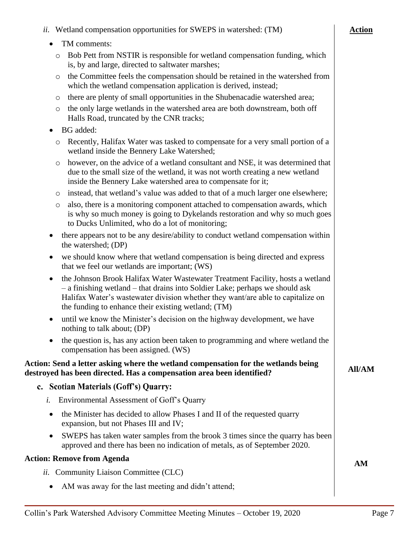| Bob Pett from NSTIR is responsible for wetland compensation funding, which<br>$\circ$<br>is, by and large, directed to saltwater marshes;                                                                                                                                                                             |    |
|-----------------------------------------------------------------------------------------------------------------------------------------------------------------------------------------------------------------------------------------------------------------------------------------------------------------------|----|
| the Committee feels the compensation should be retained in the watershed from<br>O<br>which the wetland compensation application is derived, instead;                                                                                                                                                                 |    |
| there are plenty of small opportunities in the Shubenacadie watershed area;<br>O                                                                                                                                                                                                                                      |    |
| the only large wetlands in the watershed area are both downstream, both off<br>$\circ$<br>Halls Road, truncated by the CNR tracks;                                                                                                                                                                                    |    |
| BG added:<br>٠                                                                                                                                                                                                                                                                                                        |    |
| Recently, Halifax Water was tasked to compensate for a very small portion of a<br>O<br>wetland inside the Bennery Lake Watershed;                                                                                                                                                                                     |    |
| however, on the advice of a wetland consultant and NSE, it was determined that<br>O<br>due to the small size of the wetland, it was not worth creating a new wetland<br>inside the Bennery Lake watershed area to compensate for it;                                                                                  |    |
| instead, that wetland's value was added to that of a much larger one elsewhere;<br>$\circ$                                                                                                                                                                                                                            |    |
| also, there is a monitoring component attached to compensation awards, which<br>$\circ$<br>is why so much money is going to Dykelands restoration and why so much goes<br>to Ducks Unlimited, who do a lot of monitoring;                                                                                             |    |
| there appears not to be any desire/ability to conduct wetland compensation within<br>$\bullet$<br>the watershed; (DP)                                                                                                                                                                                                 |    |
| we should know where that wetland compensation is being directed and express<br>that we feel our wetlands are important; (WS)                                                                                                                                                                                         |    |
| the Johnson Brook Halifax Water Wastewater Treatment Facility, hosts a wetland<br>$\bullet$<br>- a finishing wetland - that drains into Soldier Lake; perhaps we should ask<br>Halifax Water's wastewater division whether they want/are able to capitalize on<br>the funding to enhance their existing wetland; (TM) |    |
| until we know the Minister's decision on the highway development, we have<br>$\bullet$<br>nothing to talk about; (DP)                                                                                                                                                                                                 |    |
| the question is, has any action been taken to programming and where wetland the<br>$\bullet$<br>compensation has been assigned. (WS)                                                                                                                                                                                  |    |
| Action: Send a letter asking where the wetland compensation for the wetlands being<br>destroyed has been directed. Has a compensation area been identified?                                                                                                                                                           |    |
| c. Scotian Materials (Goff's) Quarry:                                                                                                                                                                                                                                                                                 |    |
| Environmental Assessment of Goff's Quarry<br>i.                                                                                                                                                                                                                                                                       |    |
| the Minister has decided to allow Phases I and II of the requested quarry<br>$\bullet$<br>expansion, but not Phases III and IV;                                                                                                                                                                                       |    |
| SWEPS has taken water samples from the brook 3 times since the quarry has been<br>approved and there has been no indication of metals, as of September 2020.                                                                                                                                                          |    |
| <b>Action: Remove from Agenda</b>                                                                                                                                                                                                                                                                                     | AM |
| <i>ii.</i> Community Liaison Committee (CLC)                                                                                                                                                                                                                                                                          |    |
| AM was away for the last meeting and didn't attend;<br>٠                                                                                                                                                                                                                                                              |    |

*ii.* Wetland compensation opportunities for SWEPS in watershed: (TM)

• TM comments:

**Action**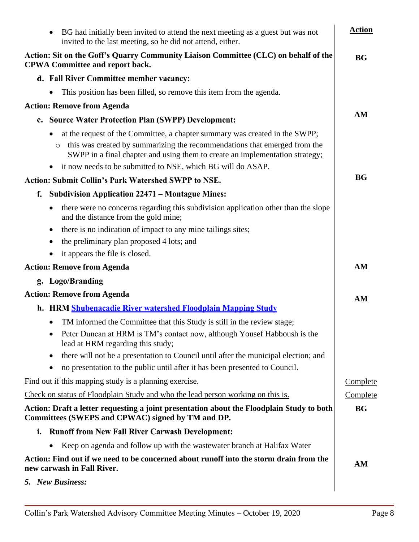<span id="page-7-0"></span>

| BG had initially been invited to attend the next meeting as a guest but was not<br>invited to the last meeting, so he did not attend, either.                        | <b>Action</b> |
|----------------------------------------------------------------------------------------------------------------------------------------------------------------------|---------------|
| Action: Sit on the Goff's Quarry Community Liaison Committee (CLC) on behalf of the<br><b>CPWA Committee and report back.</b>                                        |               |
| d. Fall River Committee member vacancy:                                                                                                                              |               |
| This position has been filled, so remove this item from the agenda.                                                                                                  |               |
| <b>Action: Remove from Agenda</b>                                                                                                                                    |               |
| <b>Source Water Protection Plan (SWPP) Development:</b><br>e.                                                                                                        | AM            |
| at the request of the Committee, a chapter summary was created in the SWPP;                                                                                          |               |
| this was created by summarizing the recommendations that emerged from the<br>$\circ$<br>SWPP in a final chapter and using them to create an implementation strategy; |               |
| it now needs to be submitted to NSE, which BG will do ASAP.                                                                                                          |               |
| <b>Action: Submit Collin's Park Watershed SWPP to NSE.</b>                                                                                                           | <b>BG</b>     |
| <b>Subdivision Application 22471 – Montague Mines:</b><br>f.                                                                                                         |               |
| there were no concerns regarding this subdivision application other than the slope<br>and the distance from the gold mine;                                           |               |
| there is no indication of impact to any mine tailings sites;<br>$\bullet$                                                                                            |               |
| the preliminary plan proposed 4 lots; and                                                                                                                            |               |
| it appears the file is closed.                                                                                                                                       |               |
| <b>Action: Remove from Agenda</b>                                                                                                                                    | AM            |
| g. Logo/Branding                                                                                                                                                     |               |
| <b>Action: Remove from Agenda</b>                                                                                                                                    | AM            |
| h. HRM Shubenacadie River watershed Floodplain Mapping Study                                                                                                         |               |
| TM informed the Committee that this Study is still in the review stage;                                                                                              |               |
| Peter Duncan at HRM is TM's contact now, although Yousef Habboush is the<br>lead at HRM regarding this study;                                                        |               |
| there will not be a presentation to Council until after the municipal election; and                                                                                  |               |
| no presentation to the public until after it has been presented to Council.                                                                                          |               |
| Find out if this mapping study is a planning exercise.                                                                                                               | Complete      |
| Check on status of Floodplain Study and who the lead person working on this is.                                                                                      | Complete      |
| Action: Draft a letter requesting a joint presentation about the Floodplain Study to both<br>Committees (SWEPS and CPWAC) signed by TM and DP.                       | <b>BG</b>     |
| <b>Runoff from New Fall River Carwash Development:</b><br>i.                                                                                                         |               |
| Keep on agenda and follow up with the wastewater branch at Halifax Water                                                                                             |               |
| Action: Find out if we need to be concerned about runoff into the storm drain from the<br>new carwash in Fall River.                                                 |               |
| 5. New Business:                                                                                                                                                     |               |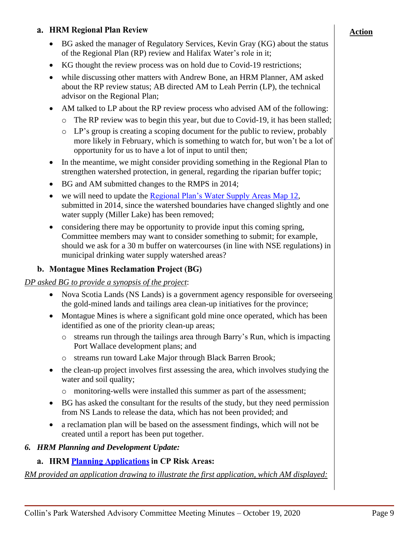#### a. HRM Regional Plan Review

- BG asked the manager of Regulatory Services, Kevin Gray (KG) about the status of the Regional Plan (RP) review and Halifax Water's role in it;
- KG thought the review process was on hold due to Covid-19 restrictions;
- while discussing other matters with Andrew Bone, an HRM Planner, AM asked about the RP review status; AB directed AM to Leah Perrin (LP), the technical advisor on the Regional Plan;
- AM talked to LP about the RP review process who advised AM of the following:
	- o The RP review was to begin this year, but due to Covid-19, it has been stalled;
	- o LP's group is creating a scoping document for the public to review, probably more likely in February, which is something to watch for, but won't be a lot of opportunity for us to have a lot of input to until then;
- In the meantime, we might consider providing something in the Regional Plan to strengthen watershed protection, in general, regarding the riparian buffer topic;
- BG and AM submitted changes to the RMPS in 2014;
- we will need to update the [Regional Plan's Water Supply Areas](https://www.halifax.ca/sites/default/files/documents/about-the-city/regional-community-planning/Map12HRMWaterSupplesRP5.pdf) Map 12, submitted in 2014, since the watershed boundaries have changed slightly and one water supply (Miller Lake) has been removed;
- considering there may be opportunity to provide input this coming spring, Committee members may want to consider something to submit; for example, should we ask for a 30 m buffer on watercourses (in line with NSE regulations) in municipal drinking water supply watershed areas?

# b. Montague Mines Reclamation Project (BG)

#### *DP asked BG to provide a synopsis of the project*:

- Nova Scotia Lands (NS Lands) is a government agency responsible for overseeing the gold-mined lands and tailings area clean-up initiatives for the province;
- Montague Mines is where a significant gold mine once operated, which has been identified as one of the priority clean-up areas;
	- $\circ$  streams run through the tailings area through Barry's Run, which is impacting Port Wallace development plans; and
	- o streams run toward Lake Major through Black Barren Brook;
- the clean-up project involves first assessing the area, which involves studying the water and soil quality;
	- o monitoring-wells were installed this summer as part of the assessment;
- BG has asked the consultant for the results of the study, but they need permission from NS Lands to release the data, which has not been provided; and
- a reclamation plan will be based on the assessment findings, which will not be created until a report has been put together.

# *6. HRM Planning and Development Update:*

# a. HRM Planning Applications in CP Risk Areas:

*RM provided an application drawing to illustrate the first application, which AM displayed:*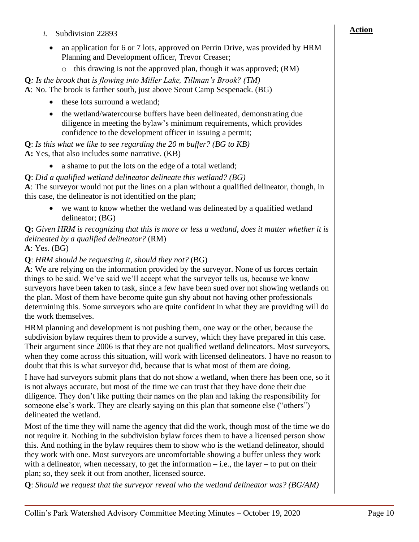- *i.* Subdivision 22893
	- an application for 6 or 7 lots, approved on Perrin Drive, was provided by HRM Planning and Development officer, Trevor Creaser;
		- o this drawing is not the approved plan, though it was approved; (RM)

**Q***: Is the brook that is flowing into Miller Lake, Tillman's Brook? (TM)* **A**: No. The brook is farther south, just above Scout Camp Sespenack. (BG)

- these lots surround a wetland;
- the wetland/watercourse buffers have been delineated, demonstrating due diligence in meeting the bylaw's minimum requirements, which provides confidence to the development officer in issuing a permit;

**Q**: *Is this what we like to see regarding the 20 m buffer? (BG to KB)* **A:** Yes, that also includes some narrative. (KB)

• a shame to put the lots on the edge of a total wetland;

**Q**: *Did a qualified wetland delineator delineate this wetland? (BG)*

**A**: The surveyor would not put the lines on a plan without a qualified delineator, though, in this case, the delineator is not identified on the plan;

we want to know whether the wetland was delineated by a qualified wetland delineator; (BG)

**Q:** *Given HRM is recognizing that this is more or less a wetland, does it matter whether it is delineated by a qualified delineator?* (RM)

**A**: Yes. (BG)

# **Q**: *HRM should be requesting it, should they not?* (BG)

**A**: We are relying on the information provided by the surveyor. None of us forces certain things to be said. We've said we'll accept what the surveyor tells us, because we know surveyors have been taken to task, since a few have been sued over not showing wetlands on the plan. Most of them have become quite gun shy about not having other professionals determining this. Some surveyors who are quite confident in what they are providing will do the work themselves.

HRM planning and development is not pushing them, one way or the other, because the subdivision bylaw requires them to provide a survey, which they have prepared in this case. Their argument since 2006 is that they are not qualified wetland delineators. Most surveyors, when they come across this situation, will work with licensed delineators. I have no reason to doubt that this is what surveyor did, because that is what most of them are doing.

I have had surveyors submit plans that do not show a wetland, when there has been one, so it is not always accurate, but most of the time we can trust that they have done their due diligence. They don't like putting their names on the plan and taking the responsibility for someone else's work. They are clearly saying on this plan that someone else ("others") delineated the wetland.

Most of the time they will name the agency that did the work, though most of the time we do not require it. Nothing in the subdivision bylaw forces them to have a licensed person show this. And nothing in the bylaw requires them to show who is the wetland delineator, should they work with one. Most surveyors are uncomfortable showing a buffer unless they work with a delineator, when necessary, to get the information  $-i.e.,$  the layer – to put on their plan; so, they seek it out from another, licensed source.

**Q**: *Should we request that the surveyor reveal who the wetland delineator was? (BG/AM)*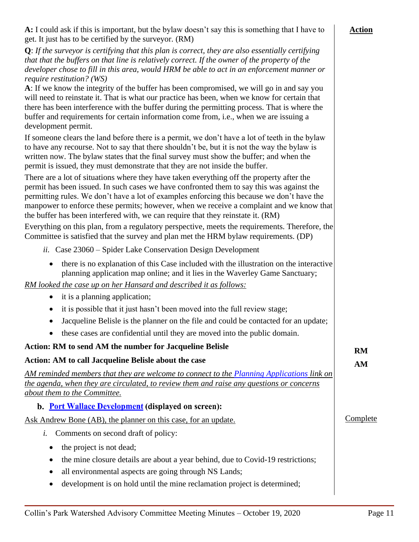| A: I could ask if this is important, but the bylaw doesn't say this is something that I have to<br>get. It just has to be certified by the surveyor. (RM)                                                                                                                                                                                                                                                                                                            |
|----------------------------------------------------------------------------------------------------------------------------------------------------------------------------------------------------------------------------------------------------------------------------------------------------------------------------------------------------------------------------------------------------------------------------------------------------------------------|
| $Q$ : If the surveyor is certifying that this plan is correct, they are also essentially certifying<br>that that the buffers on that line is relatively correct. If the owner of the property of the<br>developer chose to fill in this area, would HRM be able to act in an enforcement manner or<br>require restitution? (WS)                                                                                                                                      |
| A: If we know the integrity of the buffer has been compromised, we will go in and say you<br>will need to reinstate it. That is what our practice has been, when we know for certain that<br>there has been interference with the buffer during the permitting process. That is where the<br>buffer and requirements for certain information come from, i.e., when we are issuing a<br>development permit.                                                           |
| If someone clears the land before there is a permit, we don't have a lot of teeth in the bylaw<br>to have any recourse. Not to say that there shouldn't be, but it is not the way the bylaw is<br>written now. The bylaw states that the final survey must show the buffer; and when the<br>permit is issued, they must demonstrate that they are not inside the buffer.                                                                                             |
| There are a lot of situations where they have taken everything off the property after the<br>permit has been issued. In such cases we have confronted them to say this was against the<br>permitting rules. We don't have a lot of examples enforcing this because we don't have the<br>manpower to enforce these permits; however, when we receive a complaint and we know that<br>the buffer has been interfered with, we can require that they reinstate it. (RM) |
| Everything on this plan, from a regulatory perspective, meets the requirements. Therefore, the<br>Committee is satisfied that the survey and plan met the HRM bylaw requirements. (DP)                                                                                                                                                                                                                                                                               |
| <i>ii.</i> Case 23060 – Spider Lake Conservation Design Development                                                                                                                                                                                                                                                                                                                                                                                                  |
| there is no explanation of this Case included with the illustration on the interactive<br>$\bullet$<br>planning application map online; and it lies in the Waverley Game Sanctuary;                                                                                                                                                                                                                                                                                  |
| RM looked the case up on her Hansard and described it as follows:                                                                                                                                                                                                                                                                                                                                                                                                    |
| it is a planning application;<br>$\bullet$                                                                                                                                                                                                                                                                                                                                                                                                                           |
| it is possible that it just hasn't been moved into the full review stage;<br>$\bullet$                                                                                                                                                                                                                                                                                                                                                                               |

- Jacqueline Belisle is the planner on the file and could be contacted for an update;
- these cases are confidential until they are moved into the public domain.

| Action: RM to send AM the number for Jacqueline Belisle                                                                                                                                                               | <b>RM</b> |
|-----------------------------------------------------------------------------------------------------------------------------------------------------------------------------------------------------------------------|-----------|
| Action: AM to call Jacqueline Belisle about the case                                                                                                                                                                  | AM        |
| AM reminded members that they are welcome to connect to the Planning Applications link on<br>the agenda, when they are circulated, to review them and raise any questions or concerns<br>about them to the Committee. |           |
| <b>b.</b> Port Wallace Development (displayed on screen):                                                                                                                                                             |           |
| Ask Andrew Bone (AB), the planner on this case, for an update.                                                                                                                                                        | Complete  |
| Comments on second draft of policy:<br>i.                                                                                                                                                                             |           |
| the project is not dead;<br>$\bullet$                                                                                                                                                                                 |           |
| the mine closure details are about a year behind, due to Covid-19 restrictions;<br>$\bullet$                                                                                                                          |           |
| all environmental aspects are going through NS Lands;<br>$\bullet$                                                                                                                                                    |           |
| dovelopment is on hold until the mine realemetian project is determined.                                                                                                                                              |           |

• development is on hold until the mine reclamation project is determined;